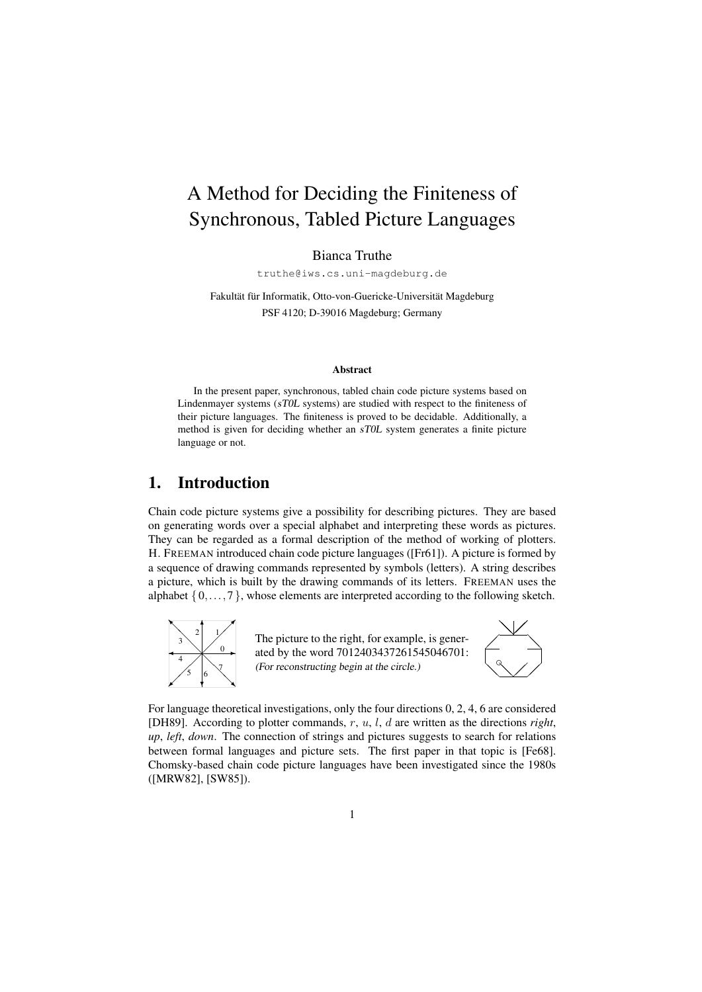# A Method for Deciding the Finiteness of Synchronous, Tabled Picture Languages

Bianca Truthe

truthe@iws.cs.uni-magdeburg.de

Fakultät für Informatik, Otto-von-Guericke-Universität Magdeburg PSF 4120; D-39016 Magdeburg; Germany

#### Abstract

In the present paper, synchronous, tabled chain code picture systems based on Lindenmayer systems (sT0L systems) are studied with respect to the finiteness of their picture languages. The finiteness is proved to be decidable. Additionally, a method is given for deciding whether an sT0L system generates a finite picture language or not.

# 1. Introduction

Chain code picture systems give a possibility for describing pictures. They are based on generating words over a special alphabet and interpreting these words as pictures. They can be regarded as a formal description of the method of working of plotters. H. FREEMAN introduced chain code picture languages ([Fr61]). A picture is formed by a sequence of drawing commands represented by symbols (letters). A string describes a picture, which is built by the drawing commands of its letters. FREEMAN uses the alphabet  $\{0, \ldots, 7\}$ , whose elements are interpreted according to the following sketch.



The picture to the right, for example, is generated by the word 7012403437261545046701: (For reconstructing begin at the circle.)



For language theoretical investigations, only the four directions 0, 2, 4, 6 are considered [DH89]. According to plotter commands, r, u, l, d are written as the directions *right*, *up*, *left*, *down*. The connection of strings and pictures suggests to search for relations between formal languages and picture sets. The first paper in that topic is [Fe68]. Chomsky-based chain code picture languages have been investigated since the 1980s ([MRW82], [SW85]).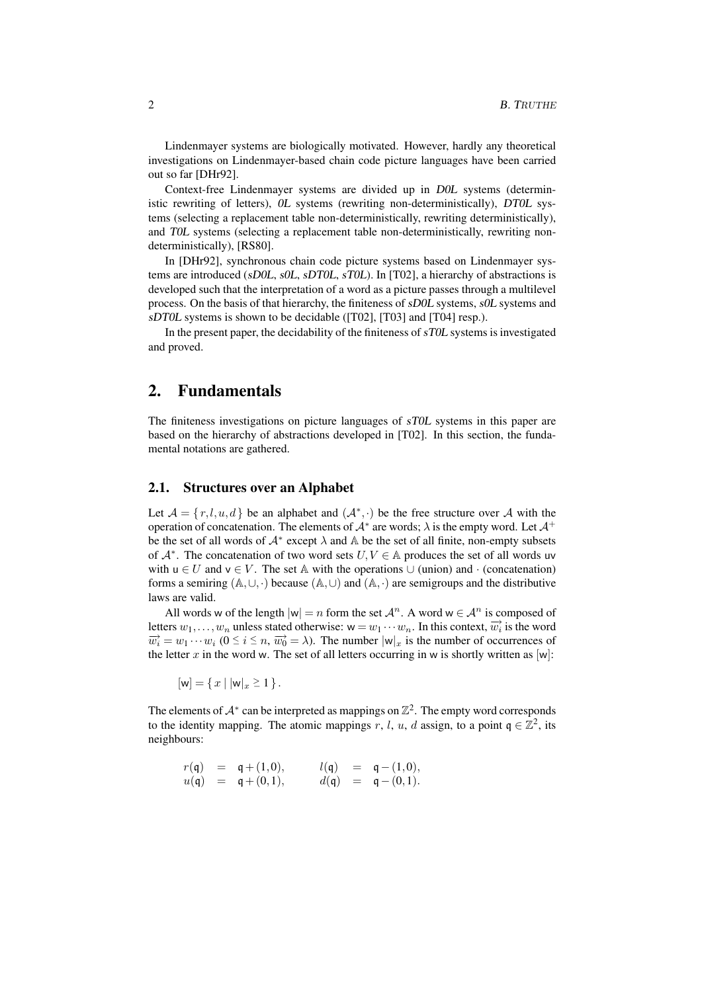Lindenmayer systems are biologically motivated. However, hardly any theoretical investigations on Lindenmayer-based chain code picture languages have been carried out so far [DHr92].

Context-free Lindenmayer systems are divided up in D0L systems (deterministic rewriting of letters), 0L systems (rewriting non-deterministically), DT0L systems (selecting a replacement table non-deterministically, rewriting deterministically), and T0L systems (selecting a replacement table non-deterministically, rewriting nondeterministically), [RS80].

In [DHr92], synchronous chain code picture systems based on Lindenmayer systems are introduced (sD0L, s0L, sDT0L, sT0L). In [T02], a hierarchy of abstractions is developed such that the interpretation of a word as a picture passes through a multilevel process. On the basis of that hierarchy, the finiteness of sD0L systems, s0L systems and sDT0L systems is shown to be decidable ([T02], [T03] and [T04] resp.).

In the present paper, the decidability of the finiteness of sT0L systems is investigated and proved.

## 2. Fundamentals

The finiteness investigations on picture languages of sT0L systems in this paper are based on the hierarchy of abstractions developed in [T02]. In this section, the fundamental notations are gathered.

## 2.1. Structures over an Alphabet

Let  $\mathcal{A} = \{r, l, u, d\}$  be an alphabet and  $(\mathcal{A}^*, \cdot)$  be the free structure over  $\mathcal{A}$  with the operation of concatenation. The elements of  $A^*$  are words;  $\lambda$  is the empty word. Let  $A^+$ be the set of all words of  $A^*$  except  $\lambda$  and  $\mathbb A$  be the set of all finite, non-empty subsets of  $A^*$ . The concatenation of two word sets  $U, V \in A$  produces the set of all words uv with  $u \in U$  and  $v \in V$ . The set A with the operations  $\cup$  (union) and  $\cdot$  (concatenation) forms a semiring  $(A, \cup, \cdot)$  because  $(A, \cup)$  and  $(A, \cdot)$  are semigroups and the distributive laws are valid.

All words w of the length  $|w| = n$  form the set  $\mathcal{A}^n$ . A word  $w \in \mathcal{A}^n$  is composed of letters  $w_1, \ldots, w_n$  unless stated otherwise:  $w = w_1 \cdots w_n$ . In this context,  $\overrightarrow{w_i}$  is the word  $\overrightarrow{w_i} = w_1 \cdots w_i$  ( $0 \le i \le n$ ,  $\overrightarrow{w_0} = \lambda$ ). The number  $|w|_x$  is the number of occurrences of the letter x in the word w. The set of all letters occurring in w is shortly written as  $[w]$ :

 $[w] = \{ x \mid |w|_x \ge 1 \}.$ 

The elements of  $\mathcal{A}^*$  can be interpreted as mappings on  $\mathbb{Z}^2$ . The empty word corresponds to the identity mapping. The atomic mappings r, l, u, d assign, to a point  $q \in \mathbb{Z}^2$ , its neighbours:

 $r(\mathfrak{q}) = \mathfrak{q} + (1,0), \hspace{1cm} l(\mathfrak{q}) = \mathfrak{q} - (1,0),$  $u(\mathfrak{q}) = \mathfrak{q} + (0,1), \qquad d(\mathfrak{q}) = \mathfrak{q} - (0,1).$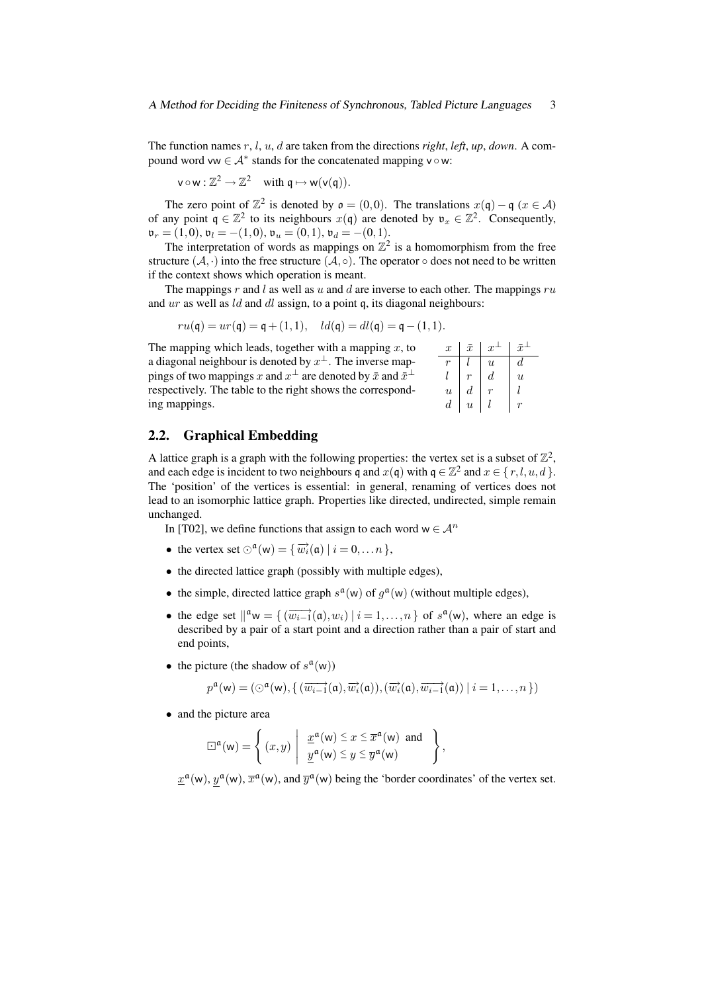The function names r, l, u, d are taken from the directions *right*, *left*, *up*, *down*. A compound word vw  $\in \mathcal{A}^*$  stands for the concatenated mapping v  $\circ$  w:

$$
v \circ w : \mathbb{Z}^2 \to \mathbb{Z}^2 \quad \text{with } q \mapsto w(v(q)).
$$

The zero point of  $\mathbb{Z}^2$  is denoted by  $\mathfrak{o} = (0,0)$ . The translations  $x(\mathfrak{q}) - \mathfrak{q}$   $(x \in \mathcal{A})$ of any point  $q \in \mathbb{Z}^2$  to its neighbours  $x(q)$  are denoted by  $v_x \in \mathbb{Z}^2$ . Consequently,  $\mathfrak{v}_r = (1,0), \mathfrak{v}_l = -(1,0), \mathfrak{v}_u = (0,1), \mathfrak{v}_d = -(0,1).$ 

The interpretation of words as mappings on  $\mathbb{Z}^2$  is a homomorphism from the free structure  $(A, \cdot)$  into the free structure  $(A, \circ)$ . The operator  $\circ$  does not need to be written if the context shows which operation is meant.

The mappings  $r$  and  $l$  as well as  $u$  and  $d$  are inverse to each other. The mappings  $ru$ and ur as well as *ld* and *dl* assign, to a point q, its diagonal neighbours:

$$
ru(\mathfrak{q}) = ur(\mathfrak{q}) = \mathfrak{q} + (1,1), \quad ld(\mathfrak{q}) = dl(\mathfrak{q}) = \mathfrak{q} - (1,1).
$$

The mapping which leads, together with a mapping  $x$ , to a diagonal neighbour is denoted by  $x^{\perp}$ . The inverse mappings of two mappings  $x$  and  $x^{\perp}$  are denoted by  $\bar{x}$  and  $\bar{x}^{\perp}$ respectively. The table to the right shows the corresponding mappings.

| $\boldsymbol{x}$          | $\bar{x}$                 | $\boldsymbol{x}$          | $\bar{x}$        |
|---------------------------|---------------------------|---------------------------|------------------|
|                           |                           | $\boldsymbol{\mathit{u}}$ | d                |
|                           |                           | d                         | $\boldsymbol{u}$ |
| $\boldsymbol{\mathit{u}}$ | d                         |                           |                  |
| d                         | $\boldsymbol{\mathit{u}}$ |                           |                  |

## 2.2. Graphical Embedding

A lattice graph is a graph with the following properties: the vertex set is a subset of  $\mathbb{Z}^2$ , and each edge is incident to two neighbours q and  $x(q)$  with  $q \in \mathbb{Z}^2$  and  $x \in \{r, l, u, d\}$ . The 'position' of the vertices is essential: in general, renaming of vertices does not lead to an isomorphic lattice graph. Properties like directed, undirected, simple remain unchanged.

In [T02], we define functions that assign to each word  $w \in A^n$ 

- the vertex set  $\odot^{\mathfrak{a}}(\mathsf{w}) = {\overline{w_i}(\mathfrak{a}) \mid i = 0, \dots n}$ ,
- the directed lattice graph (possibly with multiple edges),
- the simple, directed lattice graph  $s^{\mathfrak{a}}(w)$  of  $g^{\mathfrak{a}}(w)$  (without multiple edges),
- the edge set  $\int_{0}^{\alpha} w = \{ (\overrightarrow{w_{i-1}}(\mathfrak{a}), w_i) \mid i = 1, \ldots, n \}$  of  $s^{\mathfrak{a}}(w)$ , where an edge is described by a pair of a start point and a direction rather than a pair of start and end points,
- the picture (the shadow of  $s^{\mathfrak{a}}(w)$ )

$$
p^{\mathfrak{a}}(\mathsf{w})=(\odot^{\mathfrak{a}}(\mathsf{w}), \{\,(\overrightarrow{w_{i-1}}(\mathfrak{a}),\overrightarrow{w_{i}}(\mathfrak{a})),(\overrightarrow{w_{i}}(\mathfrak{a}),\overrightarrow{w_{i-1}}(\mathfrak{a}))\mid i=1,\ldots,n\,\})
$$

• and the picture area

$$
\Box^{\mathfrak{a}}(\mathsf{w}) = \left\{ (x, y) \middle| \frac{\underline{x}^{\mathfrak{a}}(\mathsf{w}) \leq x \leq \overline{x}^{\mathfrak{a}}(\mathsf{w}) \text{ and } \underline{y}^{\mathfrak{a}}(\mathsf{w}) \leq y \leq \overline{y}^{\mathfrak{a}}(\mathsf{w}) \right\},
$$

 $\underline{x}^{\mathfrak{a}}(w)$ ,  $\underline{v}^{\mathfrak{a}}(w)$ , and  $\overline{y}^{\mathfrak{a}}(w)$  being the 'border coordinates' of the vertex set.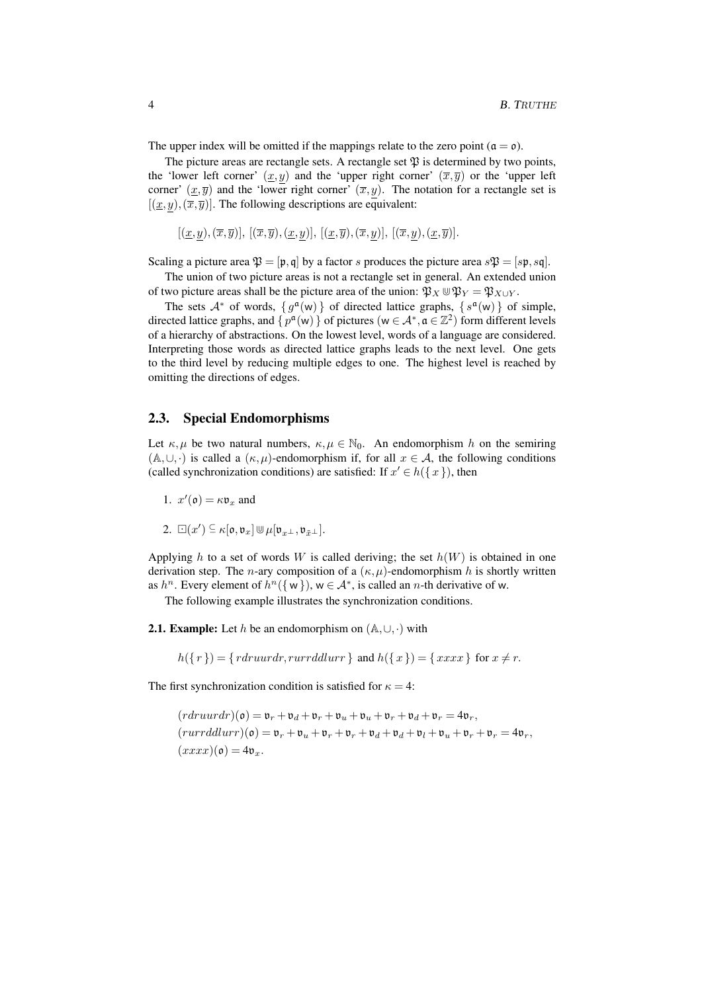The upper index will be omitted if the mappings relate to the zero point ( $\mathfrak{a} = \mathfrak{o}$ ).

The picture areas are rectangle sets. A rectangle set  $\mathfrak P$  is determined by two points, the 'lower left corner'  $(x,y)$  and the 'upper right corner'  $(\overline{x},\overline{y})$  or the 'upper left corner'  $(x,\overline{y})$  and the 'lower right corner'  $(\overline{x},y)$ . The notation for a rectangle set is  $[(x,y),(\overline{x},\overline{y})]$ . The following descriptions are equivalent:

$$
[(\underline{x},y),(\overline{x},\overline{y})], [(\overline{x},\overline{y}),(\underline{x},y)], [(\underline{x},\overline{y}),(\overline{x},y)], [(\overline{x},y),(\underline{x},\overline{y})].
$$

Scaling a picture area  $\mathfrak{P} = [\mathfrak{p}, \mathfrak{q}]$  by a factor s produces the picture area  $s\mathfrak{P} = [s\mathfrak{p}, s\mathfrak{q}]$ .

The union of two picture areas is not a rectangle set in general. An extended union of two picture areas shall be the picture area of the union:  $\mathfrak{P}_X \mathfrak{P}_Y = \mathfrak{P}_{X \cup Y}$ .

The sets  $A^*$  of words,  $\{g^{\mathfrak{a}}(w)\}\)$  of directed lattice graphs,  $\{s^{\mathfrak{a}}(w)\}\)$  of simple, directed lattice graphs, and  $\{p^{\mathfrak{a}}(w)\}\$  of pictures  $(w \in A^*, \mathfrak{a} \in \mathbb{Z}^2)$  form different levels of a hierarchy of abstractions. On the lowest level, words of a language are considered. Interpreting those words as directed lattice graphs leads to the next level. One gets to the third level by reducing multiple edges to one. The highest level is reached by omitting the directions of edges.

## 2.3. Special Endomorphisms

Let  $\kappa, \mu$  be two natural numbers,  $\kappa, \mu \in \mathbb{N}_0$ . An endomorphism h on the semiring  $(A, \cup, \cdot)$  is called a  $(\kappa, \mu)$ -endomorphism if, for all  $x \in A$ , the following conditions (called synchronization conditions) are satisfied: If  $x' \in h({x})$ , then

- 1.  $x'(\mathfrak{o}) = \kappa \mathfrak{v}_x$  and
- 2.  $\Box(x') \subseteq \kappa[\mathfrak{o},\mathfrak{v}_x] \cup \mu[\mathfrak{v}_{x\perp},\mathfrak{v}_{\bar{x}\perp}].$

Applying h to a set of words W is called deriving; the set  $h(W)$  is obtained in one derivation step. The *n*-ary composition of a  $(\kappa, \mu)$ -endomorphism h is shortly written as  $h^n$ . Every element of  $h^n({w})$ ,  $w \in A^*$ , is called an *n*-th derivative of w.

The following example illustrates the synchronization conditions.

**2.1. Example:** Let h be an endomorphism on  $(A, \cup, \cdot)$  with

 $h({r}) = {rdruurdr, rurrddlurr}$  and  $h({x}) = {xxxx}$  for  $x \neq r$ .

The first synchronization condition is satisfied for  $\kappa = 4$ :

$$
(rdruurdr)(\mathfrak{o}) = \mathfrak{v}_r + \mathfrak{v}_d + \mathfrak{v}_r + \mathfrak{v}_u + \mathfrak{v}_u + \mathfrak{v}_r + \mathfrak{v}_d + \mathfrak{v}_r = 4\mathfrak{v}_r,
$$
  
\n
$$
(rurrddlurr)(\mathfrak{o}) = \mathfrak{v}_r + \mathfrak{v}_u + \mathfrak{v}_r + \mathfrak{v}_r + \mathfrak{v}_d + \mathfrak{v}_d + \mathfrak{v}_l + \mathfrak{v}_u + \mathfrak{v}_r + \mathfrak{v}_r = 4\mathfrak{v}_r,
$$
  
\n
$$
(xxxx)(\mathfrak{o}) = 4\mathfrak{v}_x.
$$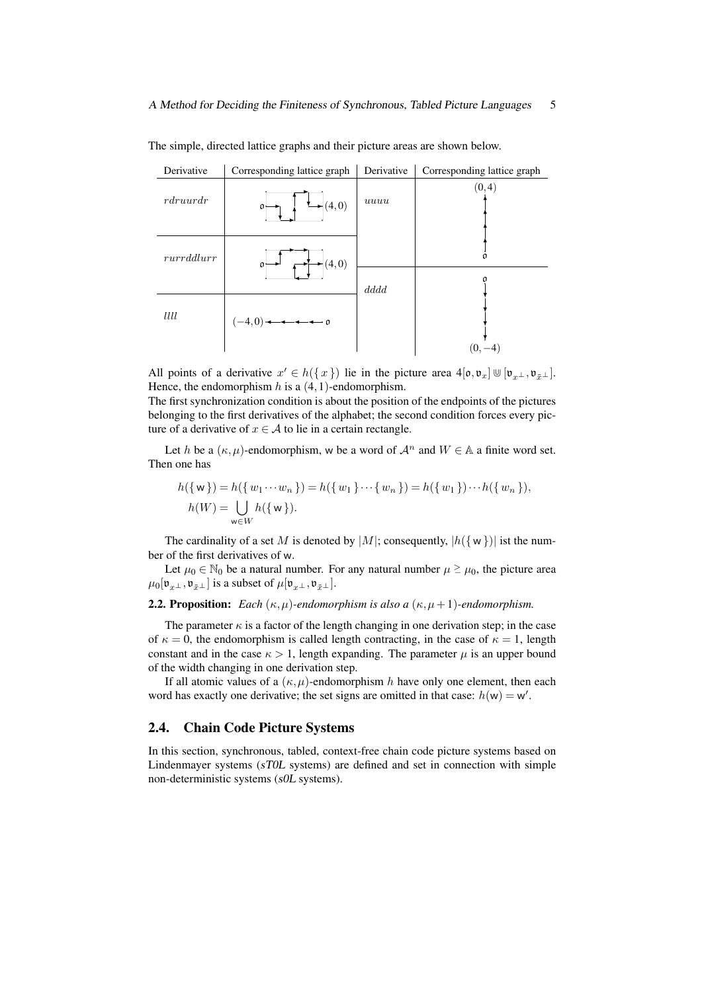

The simple, directed lattice graphs and their picture areas are shown below.

All points of a derivative  $x' \in h({x})$  lie in the picture area  $4[\mathfrak{o}, \mathfrak{v}_x] \cup [\mathfrak{v}_{x\perp}, \mathfrak{v}_{\bar{x}\perp}]$ . Hence, the endomorphism  $h$  is a  $(4,1)$ -endomorphism.

The first synchronization condition is about the position of the endpoints of the pictures belonging to the first derivatives of the alphabet; the second condition forces every picture of a derivative of  $x \in A$  to lie in a certain rectangle.

Let h be a  $(\kappa, \mu)$ -endomorphism, w be a word of  $\mathcal{A}^n$  and  $W \in \mathbb{A}$  a finite word set. Then one has

$$
h({w}) = h({w_1 \cdots w_n}) = h({w_1} \cdots {w_n}) = h({w_1}) \cdots h({w_n}),
$$
  

$$
h(W) = \bigcup_{w \in W} h({w}).
$$

The cardinality of a set M is denoted by  $|M|$ ; consequently,  $|h({w})|$  ist the number of the first derivatives of w.

Let  $\mu_0 \in \mathbb{N}_0$  be a natural number. For any natural number  $\mu \ge \mu_0$ , the picture area  $\mu_0[\mathfrak{v}_{x\perp},\mathfrak{v}_{\bar{x}\perp}]$  is a subset of  $\mu[\mathfrak{v}_{x\perp},\mathfrak{v}_{\bar{x}\perp}]$ .

## **2.2. Proposition:** *Each*  $(\kappa, \mu)$ -endomorphism is also a  $(\kappa, \mu + 1)$ -endomorphism.

The parameter  $\kappa$  is a factor of the length changing in one derivation step; in the case of  $\kappa = 0$ , the endomorphism is called length contracting, in the case of  $\kappa = 1$ , length constant and in the case  $\kappa > 1$ , length expanding. The parameter  $\mu$  is an upper bound of the width changing in one derivation step.

If all atomic values of a  $(\kappa, \mu)$ -endomorphism h have only one element, then each word has exactly one derivative; the set signs are omitted in that case:  $h(w) = w'$ .

## 2.4. Chain Code Picture Systems

In this section, synchronous, tabled, context-free chain code picture systems based on Lindenmayer systems (sT0L systems) are defined and set in connection with simple non-deterministic systems (s0L systems).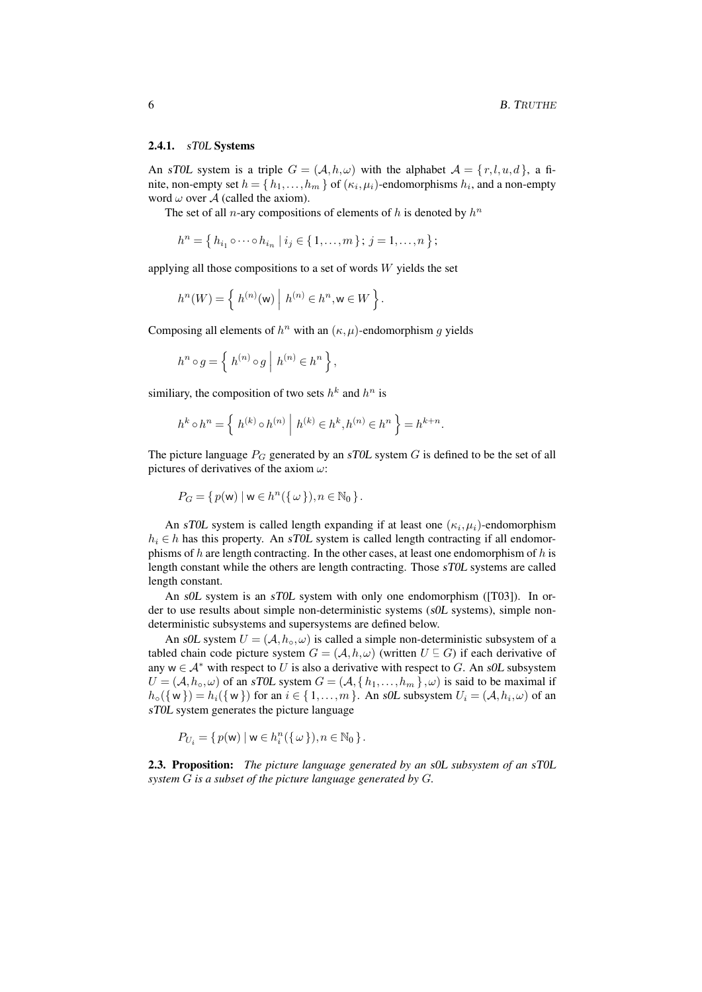#### 2.4.1. sT0L Systems

An sT0L system is a triple  $G = (\mathcal{A}, h, \omega)$  with the alphabet  $\mathcal{A} = \{r, l, u, d\}$ , a finite, non-empty set  $h = \{h_1, \ldots, h_m\}$  of  $(\kappa_i, \mu_i)$ -endomorphisms  $h_i$ , and a non-empty word  $\omega$  over A (called the axiom).

The set of all *n*-ary compositions of elements of h is denoted by  $h^n$ 

$$
h^{n} = \{ h_{i_1} \circ \cdots \circ h_{i_n} \mid i_j \in \{1, ..., m\}; j = 1, ..., n \};
$$

applying all those compositions to a set of words  $W$  yields the set

$$
h^{n}(W) = \left\{ h^{(n)}(\mathbf{w}) \mid h^{(n)} \in h^{n}, \mathbf{w} \in W \right\}.
$$

Composing all elements of  $h^n$  with an  $(\kappa, \mu)$ -endomorphism g yields

$$
h^n \circ g = \left\{ h^{(n)} \circ g \mid h^{(n)} \in h^n \right\},\
$$

similiary, the composition of two sets  $h^k$  and  $h^n$  is

$$
h^{k} \circ h^{n} = \left\{ h^{(k)} \circ h^{(n)} \mid h^{(k)} \in h^{k}, h^{(n)} \in h^{n} \right\} = h^{k+n}.
$$

The picture language  $P_G$  generated by an sTOL system G is defined to be the set of all pictures of derivatives of the axiom  $\omega$ :

$$
P_G = \{ p(\mathsf{w}) \mid \mathsf{w} \in h^n(\{\omega\}), n \in \mathbb{N}_0 \}.
$$

An sTOL system is called length expanding if at least one  $(\kappa_i, \mu_i)$ -endomorphism  $h_i \in h$  has this property. An sTOL system is called length contracting if all endomorphisms of  $h$  are length contracting. In the other cases, at least one endomorphism of  $h$  is length constant while the others are length contracting. Those sT0L systems are called length constant.

An s0L system is an sT0L system with only one endomorphism ([T03]). In order to use results about simple non-deterministic systems (s0L systems), simple nondeterministic subsystems and supersystems are defined below.

An s0L system  $U = (A, h_0, \omega)$  is called a simple non-deterministic subsystem of a tabled chain code picture system  $G = (\mathcal{A}, h, \omega)$  (written  $U \subseteq G$ ) if each derivative of any  $w \in A^*$  with respect to U is also a derivative with respect to G. An s0L subsystem  $U = (A, h<sub>o</sub>, \omega)$  of an sTOL system  $G = (A, \{h_1, \ldots, h_m\}, \omega)$  is said to be maximal if  $h_{\circ}(\{w\}) = h_i(\{w\})$  for an  $i \in \{1, ..., m\}$ . An sOL subsystem  $U_i = (A, h_i, \omega)$  of an sT0L system generates the picture language

$$
P_{U_i} = \{ p(\mathsf{w}) \mid \mathsf{w} \in h_i^n(\{\omega\}), n \in \mathbb{N}_0 \}.
$$

2.3. Proposition: *The picture language generated by an* s0L *subsystem of an* sT0L *system* G *is a subset of the picture language generated by* G*.*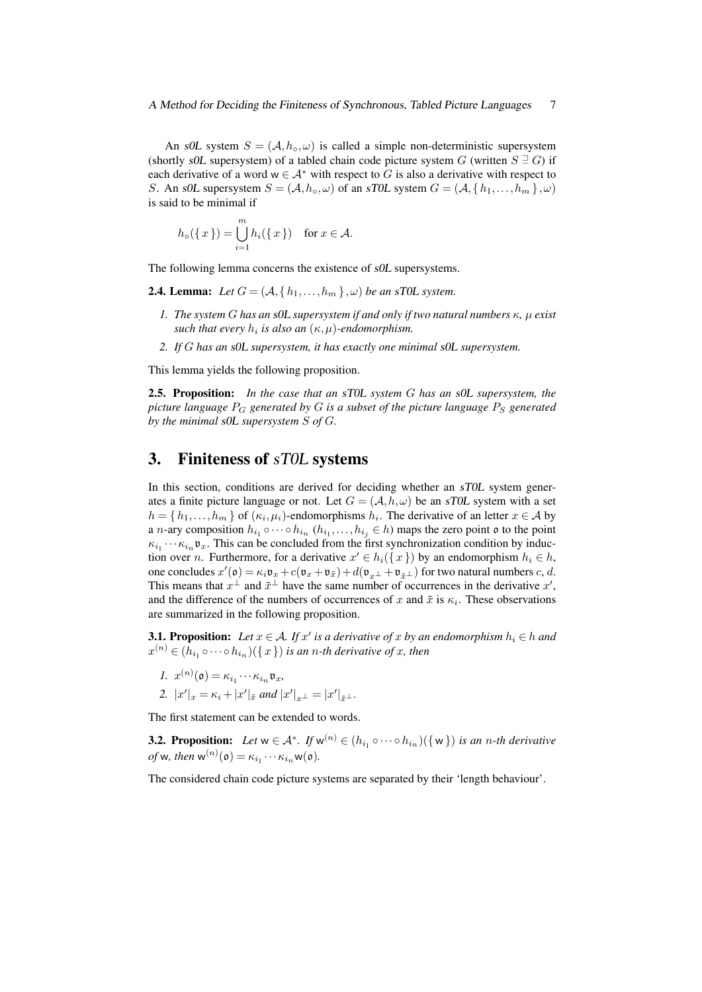An s0L system  $S = (A, h_0, \omega)$  is called a simple non-deterministic supersystem (shortly s0L supersystem) of a tabled chain code picture system G (written  $S \equiv G$ ) if each derivative of a word  $w \in A^*$  with respect to G is also a derivative with respect to S. An s0L supersystem  $S = (A, h<sub>o</sub>, \omega)$  of an sT0L system  $G = (A, \{h_1, \ldots, h_m\}, \omega)$ is said to be minimal if

$$
h_{\circ}(\lbrace x \rbrace) = \bigcup_{i=1}^{m} h_{i}(\lbrace x \rbrace) \quad \text{for } x \in \mathcal{A}.
$$

The following lemma concerns the existence of s0L supersystems.

- **2.4. Lemma:** Let  $G = (A, \{h_1, \ldots, h_m\}, \omega)$  be an sTOL system.
	- *1. The system* G *has an* s0L *supersystem if and only if two natural numbers* κ*,* µ *exist* such that every  $h_i$  is also an  $(\kappa,\mu)$ -endomorphism.
	- *2. If* G *has an* s0L *supersystem, it has exactly one minimal* s0L *supersystem.*

This lemma yields the following proposition.

2.5. Proposition: *In the case that an* sT0L *system* G *has an* s0L *supersystem, the picture language*  $P_G$  *generated by* G *is a subset of the picture language*  $P_S$  *generated by the minimal* s0L *supersystem* S *of* G*.*

## 3. Finiteness of sT0L systems

In this section, conditions are derived for deciding whether an sTOL system generates a finite picture language or not. Let  $G = (A, h, \omega)$  be an sTOL system with a set  $h = \{h_1, \ldots, h_m\}$  of  $(\kappa_i, \mu_i)$ -endomorphisms  $h_i$ . The derivative of an letter  $x \in A$  by a *n*-ary composition  $h_{i_1} \circ \cdots \circ h_{i_n}$   $(h_{i_1}, \ldots, h_{i_j} \in h)$  maps the zero point  $\mathfrak o$  to the point  $\kappa_{i_1} \cdots \kappa_{i_n} \mathfrak{v}_x$ . This can be concluded from the first synchronization condition by induction over *n*. Furthermore, for a derivative  $x' \in h_i({x})$  by an endomorphism  $h_i \in h$ , one concludes  $x'(\mathfrak{o}) = \kappa_i \mathfrak{v}_x + c(\mathfrak{v}_x + \mathfrak{v}_{\bar{x}}) + d(\mathfrak{v}_{x\perp} + \mathfrak{v}_{\bar{x}\perp})$  for two natural numbers c, d. This means that  $x^{\perp}$  and  $\bar{x}^{\perp}$  have the same number of occurrences in the derivative  $x'$ , and the difference of the numbers of occurrences of x and  $\bar{x}$  is  $\kappa_i$ . These observations are summarized in the following proposition.

**3.1. Proposition:** Let  $x \in A$ . If  $x'$  is a derivative of  $x$  by an endomorphism  $h_i \in h$  and  $x^{(n)} \in (h_{i_1} \circ \cdots \circ h_{i_n})(\set{x})$  *is an n-th derivative of x, then* 

$$
1. \ \ x^{(n)}(\mathfrak{o}) = \kappa_{i_1} \cdots \kappa_{i_n} \mathfrak{v}_x,
$$

2. 
$$
|x'|_x = \kappa_i + |x'|_{\bar{x}}
$$
 and  $|x'|_{x^{\perp}} = |x'|_{\bar{x}^{\perp}}$ .

The first statement can be extended to words.

**3.2. Proposition:** Let  $w \in A^*$ . If  $w^{(n)} \in (h_{i_1} \circ \cdots \circ h_{i_n})(\{w\})$  is an n-th derivative *of* w, then  $w^{(n)}(\mathfrak{o}) = \kappa_{i_1} \cdots \kappa_{i_n} w(\mathfrak{o})$ .

The considered chain code picture systems are separated by their 'length behaviour'.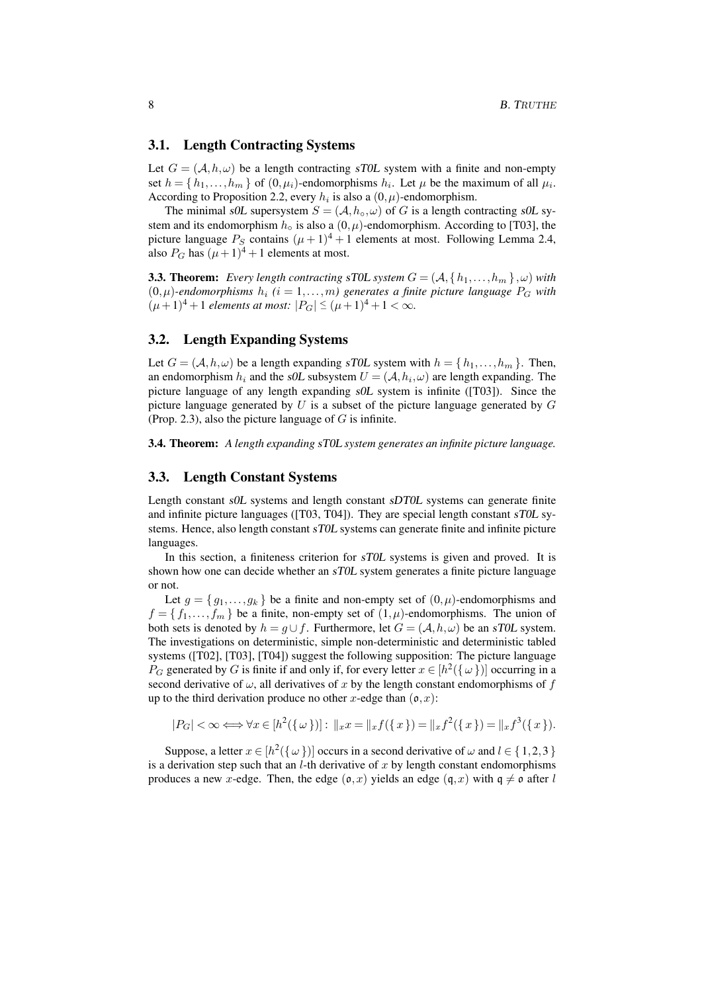## 3.1. Length Contracting Systems

Let  $G = (A, h, \omega)$  be a length contracting sTOL system with a finite and non-empty set  $h = \{h_1, \ldots, h_m\}$  of  $(0, \mu_i)$ -endomorphisms  $h_i$ . Let  $\mu$  be the maximum of all  $\mu_i$ . According to Proposition 2.2, every  $h_i$  is also a  $(0, \mu)$ -endomorphism.

The minimal s0L supersystem  $S = (A, h_0, \omega)$  of G is a length contracting s0L system and its endomorphism  $h_0$  is also a  $(0, \mu)$ -endomorphism. According to [T03], the picture language  $P_S$  contains  $(\mu + 1)^4 + 1$  elements at most. Following Lemma 2.4, also  $P_G$  has  $(\mu + 1)^4 + 1$  elements at most.

**3.3. Theorem:** *Every length contracting* sTOL system  $G = (A, \{h_1, \ldots, h_m\}, \omega)$  *with*  $(0,\mu)$ -endomorphisms  $h_i$   $(i = 1,...,m)$  generates a finite picture language  $P_G$  with  $(\mu+1)^4 + 1$  elements at most:  $|P_G| \leq (\mu+1)^4 + 1 < \infty$ .

## 3.2. Length Expanding Systems

Let  $G = (A, h, \omega)$  be a length expanding sTOL system with  $h = \{h_1, \ldots, h_m\}$ . Then, an endomorphism  $h_i$  and the *sOL* subsystem  $U = (A, h_i, \omega)$  are length expanding. The picture language of any length expanding s0L system is infinite ([T03]). Since the picture language generated by  $U$  is a subset of the picture language generated by  $G$ (Prop. 2.3), also the picture language of  $G$  is infinite.

3.4. Theorem: *A length expanding* sT0L *system generates an infinite picture language.*

#### 3.3. Length Constant Systems

Length constant s0L systems and length constant sDT0L systems can generate finite and infinite picture languages ([T03, T04]). They are special length constant sT0L systems. Hence, also length constant sT0L systems can generate finite and infinite picture languages.

In this section, a finiteness criterion for sT0L systems is given and proved. It is shown how one can decide whether an sT0L system generates a finite picture language or not.

Let  $g = \{g_1, \ldots, g_k\}$  be a finite and non-empty set of  $(0, \mu)$ -endomorphisms and  $f = \{f_1, \ldots, f_m\}$  be a finite, non-empty set of  $(1, \mu)$ -endomorphisms. The union of both sets is denoted by  $h = q \cup f$ . Furthermore, let  $G = (\mathcal{A}, h, \omega)$  be an sTOL system. The investigations on deterministic, simple non-deterministic and deterministic tabled systems ([T02], [T03], [T04]) suggest the following supposition: The picture language  $P_G$  generated by G is finite if and only if, for every letter  $x \in [h^2(\{\omega\})]$  occurring in a second derivative of  $\omega$ , all derivatives of x by the length constant endomorphisms of f up to the third derivation produce no other x-edge than  $(0, x)$ :

$$
|P_G| < \infty \Longleftrightarrow \forall x \in [h^2(\{\omega\})]: \ \|x\| = \|x f(\{x\}) = \|x f^2(\{x\}) = \|x f^3(\{x\}).
$$

Suppose, a letter  $x \in [h^2(\{\omega\})]$  occurs in a second derivative of  $\omega$  and  $l \in \{1,2,3\}$ is a derivation step such that an  $l$ -th derivative of  $x$  by length constant endomorphisms produces a new x-edge. Then, the edge  $(\mathfrak{o},x)$  yields an edge  $(\mathfrak{q},x)$  with  $\mathfrak{q} \neq \mathfrak{o}$  after l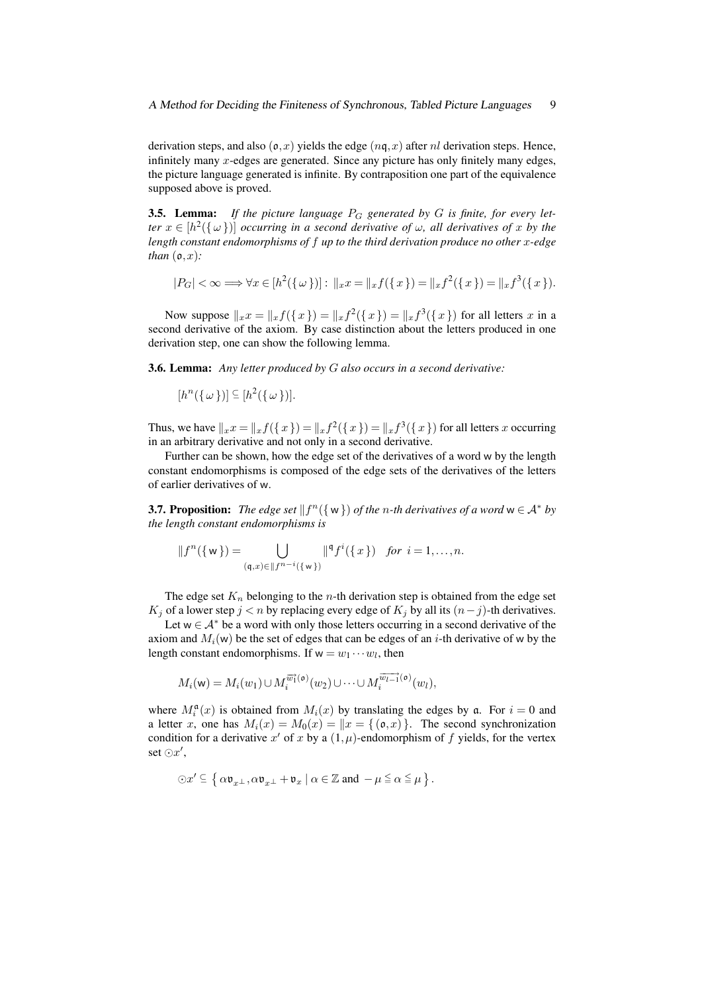derivation steps, and also  $(\mathfrak{o},x)$  yields the edge  $(nq,x)$  after nl derivation steps. Hence, infinitely many  $x$ -edges are generated. Since any picture has only finitely many edges, the picture language generated is infinite. By contraposition one part of the equivalence supposed above is proved.

**3.5. Lemma:** If the picture language  $P_G$  generated by G is finite, for every let*ter*  $x \in [h^2(\{\omega\})]$  *occurring in a second derivative of*  $\omega$ *, all derivatives of*  $x$  *by the length constant endomorphisms of* f *up to the third derivation produce no other* x*-edge than*  $(0, x)$ *:* 

$$
|P_G| < \infty \Longrightarrow \forall x \in [h^2(\{\omega\})]: \ \|_x x = \|_x f(\{x\}) = \|_x f^2(\{x\}) = \|_x f^3(\{x\}).
$$

Now suppose  $||_{x}x = ||_{x}f(\{x\}) = ||_{x}f^{2}(\{x\}) = ||_{x}f^{3}(\{x\})$  for all letters x in a second derivative of the axiom. By case distinction about the letters produced in one derivation step, one can show the following lemma.

3.6. Lemma: *Any letter produced by* G *also occurs in a second derivative:*

 $[h^{n}(\{\omega\})] \subseteq [h^{2}(\{\omega\})].$ 

Thus, we have  $||_xx = ||_x f({x}) = ||_x f^2({x}) = ||_x f^3({x})$  for all letters x occurring in an arbitrary derivative and not only in a second derivative.

Further can be shown, how the edge set of the derivatives of a word w by the length constant endomorphisms is composed of the edge sets of the derivatives of the letters of earlier derivatives of w.

**3.7. Proposition:** The edge set  $||f^n(\{w\})$  of the *n*-th derivatives of a word  $w \in A^*$  by *the length constant endomorphisms is*

$$
||f^{n}(\{w\}) = \bigcup_{(\mathfrak{q},x)\in ||f^{n-i}(\{w\})} ||^{\mathfrak{q}} f^{i}(\{x\}) \text{ for } i = 1,\ldots,n.
$$

The edge set  $K_n$  belonging to the *n*-th derivation step is obtained from the edge set  $K_j$  of a lower step  $j < n$  by replacing every edge of  $K_j$  by all its  $(n-j)$ -th derivatives.

Let  $w \in A^*$  be a word with only those letters occurring in a second derivative of the axiom and  $M_i(w)$  be the set of edges that can be edges of an i-th derivative of w by the length constant endomorphisms. If  $w = w_1 \cdots w_l$ , then

$$
M_i(\mathbf{w}) = M_i(w_1) \cup M_i^{\overrightarrow{w_1}(\mathfrak{o})}(w_2) \cup \cdots \cup M_i^{\overrightarrow{w_{l-1}}(\mathfrak{o})}(w_l),
$$

where  $M_i^{\mathfrak{a}}(x)$  is obtained from  $M_i(x)$  by translating the edges by  $\mathfrak{a}$ . For  $i = 0$  and a letter x, one has  $M_i(x) = M_0(x) = ||x| \{ (\mathfrak{o},x) \}$ . The second synchronization condition for a derivative x' of x by a  $(1, \mu)$ -endomorphism of f yields, for the vertex set  $\odot x',$ 

$$
\odot x' \subseteq \left\{\, \alpha \mathfrak{v}_{x^{\perp}}, \alpha \mathfrak{v}_{x^{\perp}} + \mathfrak{v}_{x} \mid \alpha \in \mathbb{Z} \text{ and } - \mu \leqq \alpha \leqq \mu \,\right\}.
$$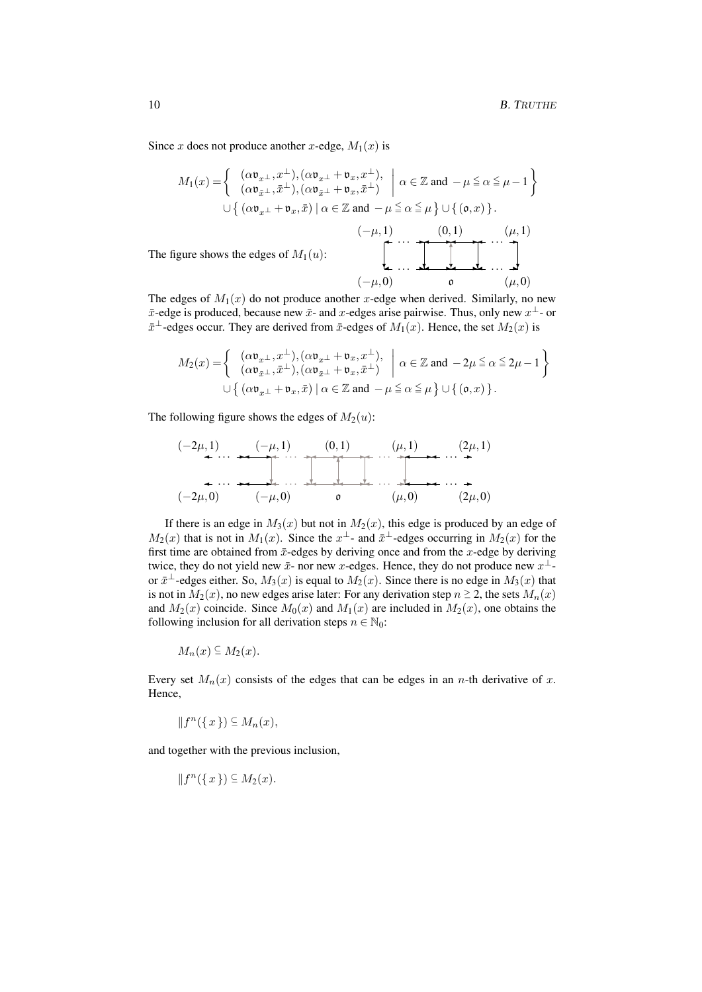Since x does not produce another x-edge,  $M_1(x)$  is

$$
M_1(x) = \begin{cases} (\alpha \mathfrak{v}_{x+}, x^{\perp}), (\alpha \mathfrak{v}_{x+} + \mathfrak{v}_x, x^{\perp}), \\ (\alpha \mathfrak{v}_{\bar{x}+}, \bar{x}^{\perp}), (\alpha \mathfrak{v}_{\bar{x}+} + \mathfrak{v}_x, \bar{x}^{\perp}) \end{cases} \alpha \in \mathbb{Z} \text{ and } -\mu \le \alpha \le \mu - 1 \end{cases}
$$
  
\n
$$
\cup \left\{ (\alpha \mathfrak{v}_{x+} + \mathfrak{v}_x, \bar{x}) \mid \alpha \in \mathbb{Z} \text{ and } -\mu \le \alpha \le \mu \right\} \cup \left\{ (\mathfrak{v}, x) \right\}.
$$
  
\n
$$
(-\mu, 1) \qquad (0, 1) \qquad (\mu, 1)
$$
  
\nThe figure shows the edges of  $M_1(u)$ :  
\n
$$
(-\mu, 0) \qquad 0 \qquad (\mu, 0)
$$

The edges of  $M_1(x)$  do not produce another x-edge when derived. Similarly, no new  $\bar{x}$ -edge is produced, because new  $\bar{x}$ - and  $x$ -edges arise pairwise. Thus, only new  $x^{\perp}$ - or  $\bar{x}^{\perp}$ -edges occur. They are derived from  $\bar{x}$ -edges of  $M_1(x)$ . Hence, the set  $M_2(x)$  is

$$
M_2(x) = \begin{cases} (\alpha \mathfrak{v}_{x^{\perp}}, x^{\perp}), (\alpha \mathfrak{v}_{x^{\perp}} + \mathfrak{v}_x, x^{\perp}), \\ (\alpha \mathfrak{v}_{\bar{x}^{\perp}}, \bar{x}^{\perp}), (\alpha \mathfrak{v}_{\bar{x}^{\perp}} + \mathfrak{v}_x, \bar{x}^{\perp}) \end{cases} \alpha \in \mathbb{Z} \text{ and } -2\mu \le \alpha \le 2\mu - 1 \begin{cases} (\alpha \mathfrak{v}_{x^{\perp}} + \mathfrak{v}_x, \bar{x}) \mid \alpha \in \mathbb{Z} \text{ and } -\mu \le \alpha \le \mu \end{cases} \cup \{ (\mathfrak{v}, x) \}.
$$

The following figure shows the edges of  $M_2(u)$ :

$$
(-2\mu,1) \qquad (-\mu,1) \qquad (0,1) \qquad (\mu,1) \qquad (2\mu,1)
$$
  
\n
$$
(-2\mu,0) \qquad (-\mu,0) \qquad 0 \qquad (\mu,0) \qquad (2\mu,0)
$$

If there is an edge in  $M_3(x)$  but not in  $M_2(x)$ , this edge is produced by an edge of  $M_2(x)$  that is not in  $M_1(x)$ . Since the  $x^{\perp}$ - and  $\bar{x}^{\perp}$ -edges occurring in  $M_2(x)$  for the first time are obtained from  $\bar{x}$ -edges by deriving once and from the x-edge by deriving twice, they do not yield new  $\bar{x}$ - nor new x-edges. Hence, they do not produce new  $x^{\perp}$ or  $\bar{x}^{\perp}$ -edges either. So,  $M_3(x)$  is equal to  $M_2(x)$ . Since there is no edge in  $M_3(x)$  that is not in  $M_2(x)$ , no new edges arise later: For any derivation step  $n \geq 2$ , the sets  $M_n(x)$ and  $M_2(x)$  coincide. Since  $M_0(x)$  and  $M_1(x)$  are included in  $M_2(x)$ , one obtains the following inclusion for all derivation steps  $n \in \mathbb{N}_0$ :

$$
M_n(x) \subseteq M_2(x).
$$

Every set  $M_n(x)$  consists of the edges that can be edges in an *n*-th derivative of x. Hence,

$$
||f^n(\lbrace x \rbrace) \subseteq M_n(x),
$$

and together with the previous inclusion,

 $\Vert f^{n}(\lbrace x \rbrace) \subseteq M_{2}(x).$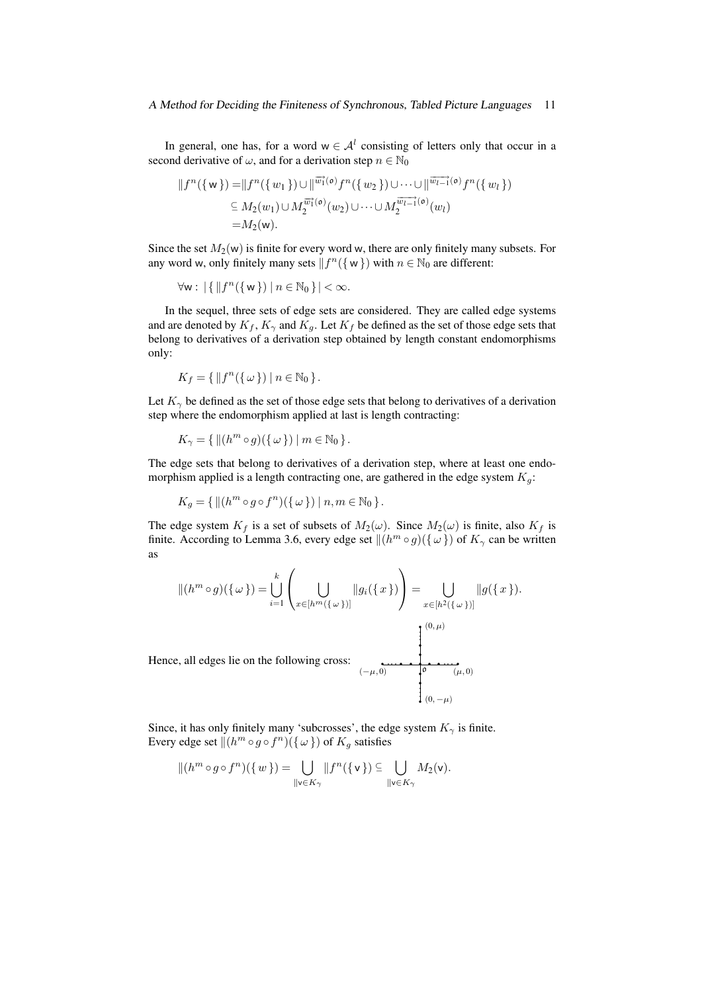In general, one has, for a word  $w \in A^l$  consisting of letters only that occur in a second derivative of  $\omega$ , and for a derivation step  $n \in \mathbb{N}_0$ 

$$
||f^{n}(\{w\}) = ||f^{n}(\{w_{1}\}) \cup ||^{\overrightarrow{w_{1}}(\mathfrak{o})} f^{n}(\{w_{2}\}) \cup \cdots \cup ||^{\overrightarrow{w_{l-1}}(\mathfrak{o})} f^{n}(\{w_{l}\})
$$
  
\n
$$
\subseteq M_{2}(w_{1}) \cup M_{2}^{\overrightarrow{w_{l}}(\mathfrak{o})}(w_{2}) \cup \cdots \cup M_{2}^{\overrightarrow{w_{l-1}}(\mathfrak{o})}(w_{l})
$$
  
\n
$$
= M_{2}(w).
$$

Since the set  $M_2(w)$  is finite for every word w, there are only finitely many subsets. For any word w, only finitely many sets  $|| f^n({w})$  with  $n \in N_0$  are different:

$$
\forall w: \left| \{ \left| \left| f^{n}(\{ w \}) \right| n \in \mathbb{N}_{0} \} \right| < \infty.
$$

In the sequel, three sets of edge sets are considered. They are called edge systems and are denoted by  $K_f$ ,  $K_\gamma$  and  $K_g$ . Let  $K_f$  be defined as the set of those edge sets that belong to derivatives of a derivation step obtained by length constant endomorphisms only:

$$
K_f = \{ ||f^n(\{\omega\}) \mid n \in \mathbb{N}_0 \}.
$$

Let  $K_{\gamma}$  be defined as the set of those edge sets that belong to derivatives of a derivation step where the endomorphism applied at last is length contracting:

$$
K_{\gamma} = \{ ||(h^m \circ g)(\{\omega\})|| m \in \mathbb{N}_0 \}.
$$

The edge sets that belong to derivatives of a derivation step, where at least one endomorphism applied is a length contracting one, are gathered in the edge system  $K_q$ :

$$
K_g = \{ || (h^m \circ g \circ f^n)(\{\omega\}) || n,m \in \mathbb{N}_0 \}.
$$

The edge system  $K_f$  is a set of subsets of  $M_2(\omega)$ . Since  $M_2(\omega)$  is finite, also  $K_f$  is finite. According to Lemma 3.6, every edge set  $\|(h^m \circ g)(\{\omega\})$  of  $K_\gamma$  can be written as

$$
\|(h^m \circ g)(\{\omega\}) = \bigcup_{i=1}^k \left( \bigcup_{x \in [h^m(\{\omega\})]} \|g_i(\{x\}) \right) = \bigcup_{x \in [h^2(\{\omega\})]} \|g(\{x\}).
$$
  
Hence, all edges lie on the following cross:

Since, it has only finitely many 'subcrosses', the edge system  $K_{\gamma}$  is finite. Every edge set  $\Vert (h^m \circ g \circ f^n)(\{\omega\})$  of  $K_g$  satisfies

$$
||(hm \circ g \circ fn)(\{w\}) = \bigcup_{\|v \in K_{\gamma}} ||fn(\{v\}) \subseteq \bigcup_{\|v \in K_{\gamma}} M_2(v).
$$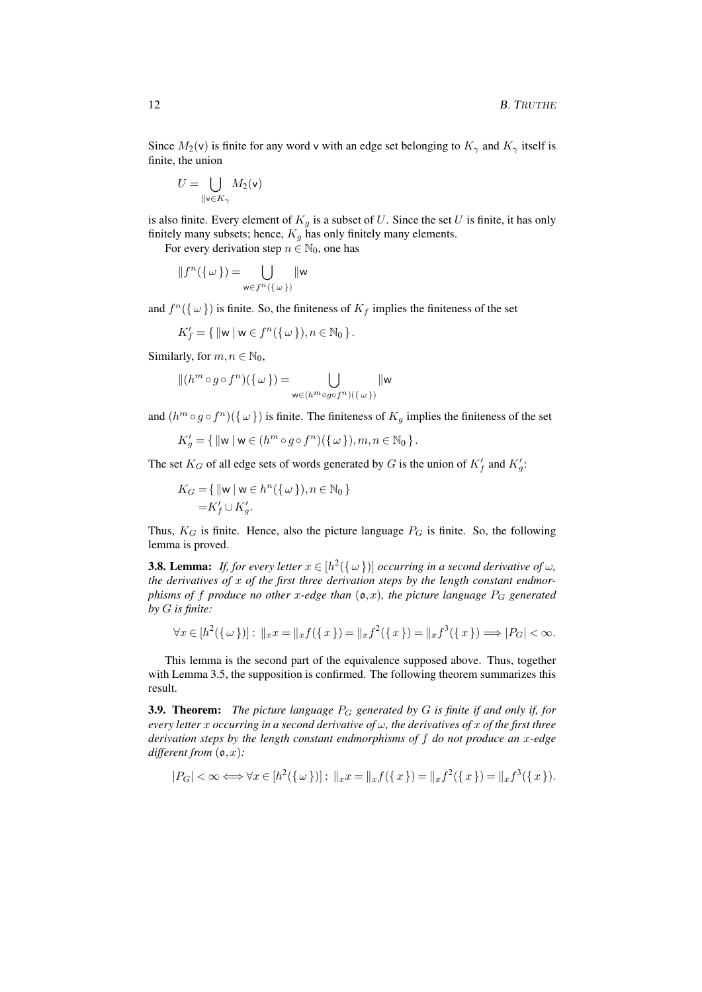Since  $M_2(v)$  is finite for any word v with an edge set belonging to  $K_\gamma$  and  $K_\gamma$  itself is finite, the union

$$
U = \bigcup_{\|\mathsf{v}\in K_{\gamma}} M_2(\mathsf{v})
$$

is also finite. Every element of  $K_q$  is a subset of U. Since the set U is finite, it has only finitely many subsets; hence,  $K_q$  has only finitely many elements.

For every derivation step  $n \in \mathbb{N}_0$ , one has

$$
||f^n(\{\omega\}) = \bigcup_{\mathbf{w} \in f^n(\{\omega\})} ||\mathbf{w}
$$

and  $f^n(\{\omega\})$  is finite. So, the finiteness of  $K_f$  implies the finiteness of the set

$$
K_f' = \{ ||\mathbf{w} \,|\, \mathbf{w} \in f^n(\{\omega\}), n \in \mathbb{N}_0 \}.
$$

Similarly, for  $m, n \in \mathbb{N}_0$ ,

$$
||(hm \circ g \circ fn)(\{\omega\}) = \bigcup_{\mathsf{w}\in (hm \circ g \circ fn)(\{\omega\})} ||\mathsf{w}
$$

and  $(h^m \circ g \circ f^n)(\{\omega\})$  is finite. The finiteness of  $K_g$  implies the finiteness of the set

$$
K'_g=\{\,\|{\sf w}\:|\:{\sf w}\in (h^m\circ g\circ f^n)(\{\,\omega\,\}), m,n\in\mathbb{N}_0\,\}\,.
$$

The set  $K_G$  of all edge sets of words generated by G is the union of  $K_f'$  and  $K_g'$ :

$$
K_G = \{ ||\mathbf{w} \,|\, \mathbf{w} \in h^n(\{\,\omega\,\}), n \in \mathbb{N}_0 \}
$$

$$
= K'_f \cup K'_g.
$$

Thus,  $K_G$  is finite. Hence, also the picture language  $P_G$  is finite. So, the following lemma is proved.

**3.8. Lemma:** If, for every letter  $x \in [h^2(\{\omega\})]$  occurring in a second derivative of  $\omega$ , *the derivatives of* x *of the first three derivation steps by the length constant endmorphisms of* f *produce no other* x-edge than  $(o, x)$ *, the picture language*  $P_G$  *generated by* G *is finite:*

$$
\forall x \in [h^{2}(\{\omega\})]: \|_{x}x = \|_{x}f(\{x\}) = \|_{x}f^{2}(\{x\}) = \|_{x}f^{3}(\{x\}) \Longrightarrow |P_{G}| < \infty.
$$

This lemma is the second part of the equivalence supposed above. Thus, together with Lemma 3.5, the supposition is confirmed. The following theorem summarizes this result.

3.9. Theorem: *The picture language* P<sup>G</sup> *generated by* G *is finite if and only if, for every letter* x *occurring in a second derivative of* ω*, the derivatives of* x *of the first three derivation steps by the length constant endmorphisms of* f *do not produce an* x*-edge different from* (o,x)*:*

$$
|P_G| < \infty \Longleftrightarrow \forall x \in [h^2(\{\omega\})]: \ \|x\| = \|x\| \{(x\}) = \|x\| \{(x\}) = \|x\| \{(x\}).
$$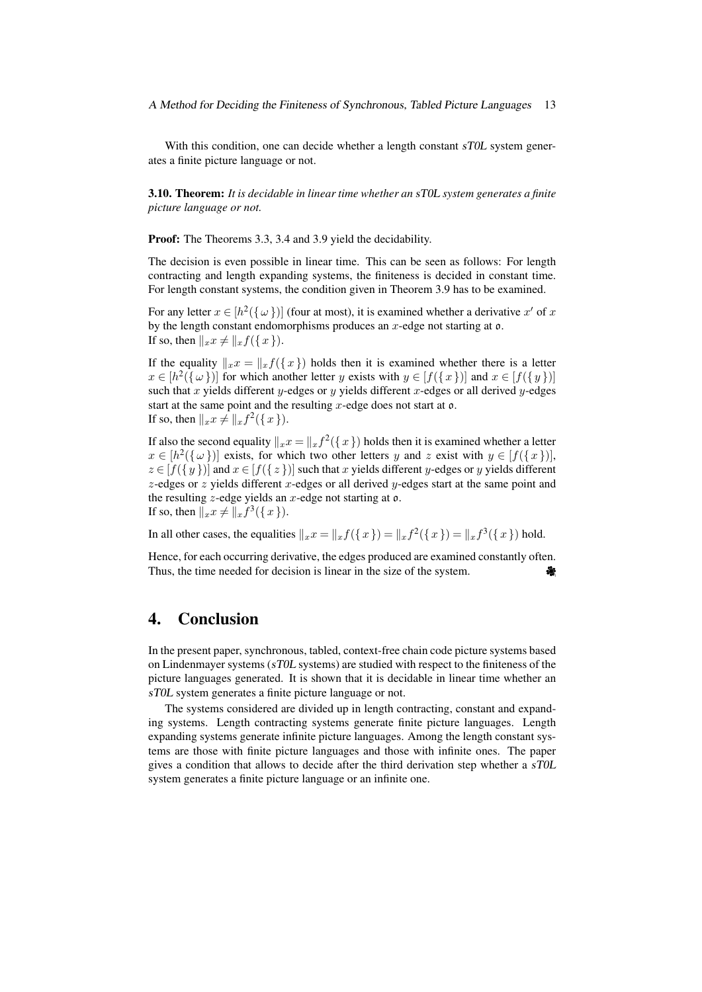With this condition, one can decide whether a length constant sT0L system generates a finite picture language or not.

3.10. Theorem: *It is decidable in linear time whether an* sT0L *system generates a finite picture language or not.*

Proof: The Theorems 3.3, 3.4 and 3.9 yield the decidability.

The decision is even possible in linear time. This can be seen as follows: For length contracting and length expanding systems, the finiteness is decided in constant time. For length constant systems, the condition given in Theorem 3.9 has to be examined.

For any letter  $x \in [h^2(\{\omega\})]$  (four at most), it is examined whether a derivative  $x'$  of  $x$ by the length constant endomorphisms produces an  $x$ -edge not starting at  $o$ . If so, then  $||_{x}x \neq ||_{x}f(\{x\}).$ 

If the equality  $\|_{x}x=\|_{x}f(\{x\})$  holds then it is examined whether there is a letter  $x \in [h^2(\{\omega\})]$  for which another letter y exists with  $y \in [f(\{x\})]$  and  $x \in [f(\{y\})]$ such that  $x$  yields different  $y$ -edges or  $y$  yields different  $x$ -edges or all derived  $y$ -edges start at the same point and the resulting  $x$ -edge does not start at  $o$ . If so, then  $||_{x}x \neq ||_{x}f^{2}(\lbrace x \rbrace).$ 

If also the second equality  $||_{x}x = ||_{x}f^{2}(\{x\})$  holds then it is examined whether a letter  $x \in [h^2(\{\omega\})]$  exists, for which two other letters y and z exist with  $y \in [f(\{x\})],$  $z \in [f({y})]$  and  $x \in [f({z})]$  such that x yields different y-edges or y yields different  $z$ -edges or  $z$  yields different  $x$ -edges or all derived  $y$ -edges start at the same point and the resulting  $z$ -edge yields an  $x$ -edge not starting at  $o$ . If so, then  $||_{x}x \neq ||_{x}f^{3}(\lbrace x \rbrace).$ 

In all other cases, the equalities  $\| _{x}x=\| _{x}f(\{x\})=\| _{x}f^{2}(\{x\})=\| _{x}f^{3}(\{x\})$  hold.

Hence, for each occurring derivative, the edges produced are examined constantly often. If so, then  $||xx \neq ||x f^3(\{x\})||$ .<br>In all other cases, the equalities  $||xx||=||xf(\{x\})||=||xf^2(\{x\})||=||xf^3(\{x\})|$  hold.<br>Hence, for each occurring derivative, the edges produced are examined constantly often.<br>Thus, the time needed f

# 4. Conclusion

In the present paper, synchronous, tabled, context-free chain code picture systems based on Lindenmayer systems (sT0L systems) are studied with respect to the finiteness of the picture languages generated. It is shown that it is decidable in linear time whether an sT0L system generates a finite picture language or not.

The systems considered are divided up in length contracting, constant and expanding systems. Length contracting systems generate finite picture languages. Length expanding systems generate infinite picture languages. Among the length constant systems are those with finite picture languages and those with infinite ones. The paper gives a condition that allows to decide after the third derivation step whether a sT0L system generates a finite picture language or an infinite one.